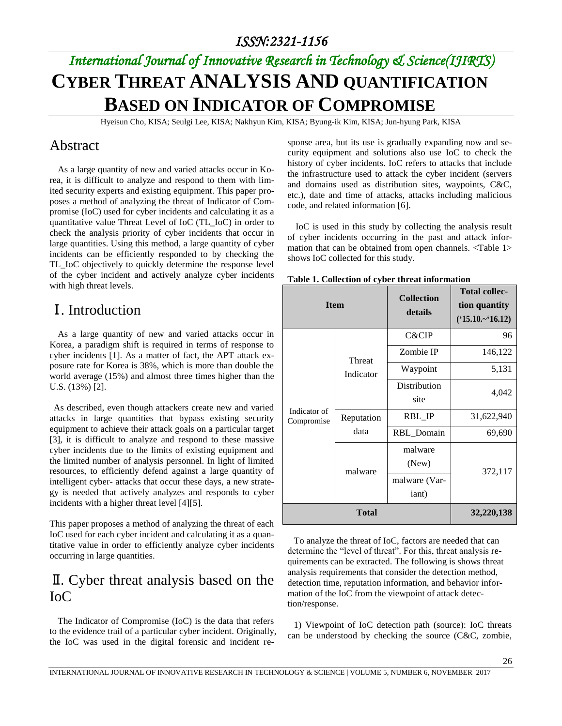# *International Journal of Innovative Research in Technology & Science(IJIRTS)* **CYBER THREAT ANALYSIS AND QUANTIFICATION BASED ON INDICATOR OF COMPROMISE**

Hyeisun Cho, KISA; Seulgi Lee, KISA; Nakhyun Kim, KISA; Byung-ik Kim, KISA; Jun-hyung Park, KISA

#### Abstract

As a large quantity of new and varied attacks occur in Korea, it is difficult to analyze and respond to them with limited security experts and existing equipment. This paper proposes a method of analyzing the threat of Indicator of Compromise (IoC) used for cyber incidents and calculating it as a quantitative value Threat Level of IoC (TL\_IoC) in order to check the analysis priority of cyber incidents that occur in large quantities. Using this method, a large quantity of cyber incidents can be efficiently responded to by checking the TL\_IoC objectively to quickly determine the response level of the cyber incident and actively analyze cyber incidents with high threat levels.

#### Ⅰ. Introduction

As a large quantity of new and varied attacks occur in Korea, a paradigm shift is required in terms of response to cyber incidents [1]. As a matter of fact, the APT attack exposure rate for Korea is 38%, which is more than double the world average (15%) and almost three times higher than the U.S. (13%) [2].

As described, even though attackers create new and varied attacks in large quantities that bypass existing security equipment to achieve their attack goals on a particular target [3], it is difficult to analyze and respond to these massive cyber incidents due to the limits of existing equipment and the limited number of analysis personnel. In light of limited resources, to efficiently defend against a large quantity of intelligent cyber- attacks that occur these days, a new strategy is needed that actively analyzes and responds to cyber incidents with a higher threat level [4][5].

This paper proposes a method of analyzing the threat of each IoC used for each cyber incident and calculating it as a quantitative value in order to efficiently analyze cyber incidents occurring in large quantities.

#### Ⅱ. Cyber threat analysis based on the IoC

The Indicator of Compromise (IoC) is the data that refers to the evidence trail of a particular cyber incident. Originally, the IoC was used in the digital forensic and incident response area, but its use is gradually expanding now and security equipment and solutions also use IoC to check the history of cyber incidents. IoC refers to attacks that include the infrastructure used to attack the cyber incident (servers and domains used as distribution sites, waypoints, C&C, etc.), date and time of attacks, attacks including malicious code, and related information [6].

IoC is used in this study by collecting the analysis result of cyber incidents occurring in the past and attack information that can be obtained from open channels. <Table 1> shows IoC collected for this study.

| <b>Item</b>                |                    | <b>Collection</b><br>details | <b>Total collec-</b><br>tion quantity<br>$(*15.10-*16.12)$ |  |
|----------------------------|--------------------|------------------------------|------------------------------------------------------------|--|
|                            |                    | C&CIP                        | 96                                                         |  |
|                            | Threat             | Zombie IP                    | 146,122                                                    |  |
|                            | Indicator          | Waypoint                     | 5,131                                                      |  |
| Indicator of<br>Compromise |                    | Distribution                 | 4,042                                                      |  |
|                            |                    | site                         |                                                            |  |
|                            | Reputation<br>data | RBL_IP                       | 31,622,940                                                 |  |
|                            |                    | RBL_Domain                   | 69,690                                                     |  |
|                            |                    | malware                      |                                                            |  |
|                            | malware            | (New)                        | 372,117                                                    |  |
|                            |                    | malware (Var-                |                                                            |  |
|                            |                    | iant)                        |                                                            |  |
| <b>Total</b>               |                    |                              | 32,220,138                                                 |  |

**Table 1. Collection of cyber threat information**

To analyze the threat of IoC, factors are needed that can determine the "level of threat". For this, threat analysis requirements can be extracted. The following is shows threat analysis requirements that consider the detection method, detection time, reputation information, and behavior information of the IoC from the viewpoint of attack detection/response.

1) Viewpoint of IoC detection path (source): IoC threats can be understood by checking the source (C&C, zombie,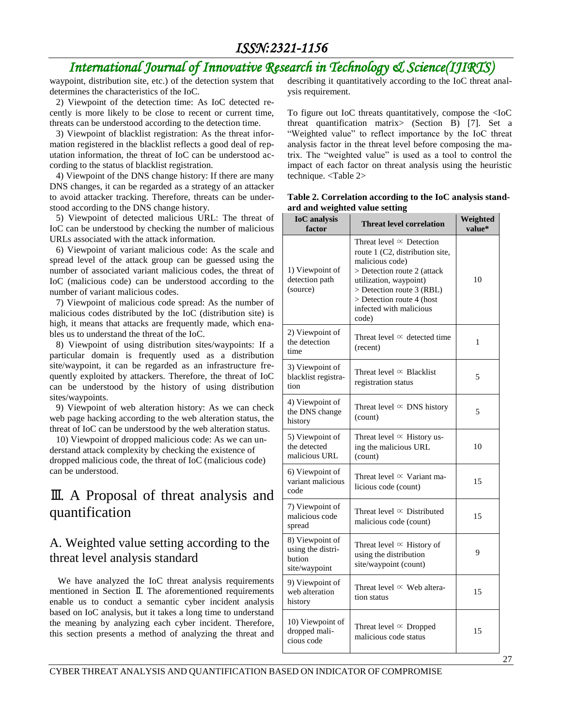# *International Journal of Innovative Research in Technology & Science(IJIRTS)*

waypoint, distribution site, etc.) of the detection system that determines the characteristics of the IoC.

2) Viewpoint of the detection time: As IoC detected recently is more likely to be close to recent or current time, threats can be understood according to the detection time.

3) Viewpoint of blacklist registration: As the threat information registered in the blacklist reflects a good deal of reputation information, the threat of IoC can be understood according to the status of blacklist registration.

4) Viewpoint of the DNS change history: If there are many DNS changes, it can be regarded as a strategy of an attacker to avoid attacker tracking. Therefore, threats can be understood according to the DNS change history.

5) Viewpoint of detected malicious URL: The threat of IoC can be understood by checking the number of malicious URLs associated with the attack information.

6) Viewpoint of variant malicious code: As the scale and spread level of the attack group can be guessed using the number of associated variant malicious codes, the threat of IoC (malicious code) can be understood according to the number of variant malicious codes.

7) Viewpoint of malicious code spread: As the number of malicious codes distributed by the IoC (distribution site) is high, it means that attacks are frequently made, which enables us to understand the threat of the IoC.

8) Viewpoint of using distribution sites/waypoints: If a particular domain is frequently used as a distribution site/waypoint, it can be regarded as an infrastructure frequently exploited by attackers. Therefore, the threat of IoC can be understood by the history of using distribution sites/waypoints.

9) Viewpoint of web alteration history: As we can check web page hacking according to the web alteration status, the threat of IoC can be understood by the web alteration status.

10) Viewpoint of dropped malicious code: As we can understand attack complexity by checking the existence of dropped malicious code, the threat of IoC (malicious code) can be understood.

## Ⅲ. A Proposal of threat analysis and quantification

#### A. Weighted value setting according to the threat level analysis standard

We have analyzed the IoC threat analysis requirements mentioned in Section Ⅱ. The aforementioned requirements enable us to conduct a semantic cyber incident analysis based on IoC analysis, but it takes a long time to understand the meaning by analyzing each cyber incident. Therefore, this section presents a method of analyzing the threat and describing it quantitatively according to the IoC threat analysis requirement.

To figure out IoC threats quantitatively, compose the <IoC threat quantification matrix> (Section B) [7]. Set a "Weighted value" to reflect importance by the IoC threat analysis factor in the threat level before composing the matrix. The "weighted value" is used as a tool to control the impact of each factor on threat analysis using the heuristic technique. <Table 2>

| <b>IoC</b> analysis<br>factor                                   | Weighted<br><b>Threat level correlation</b>                                                                                                                                                                                                  |     |
|-----------------------------------------------------------------|----------------------------------------------------------------------------------------------------------------------------------------------------------------------------------------------------------------------------------------------|-----|
| 1) Viewpoint of<br>detection path<br>(source)                   | Threat level $\infty$ Detection<br>route 1 (C2, distribution site,<br>malicious code)<br>> Detection route 2 (attack<br>utilization, waypoint)<br>> Detection route 3 (RBL)<br>> Detection route 4 (host<br>infected with malicious<br>code) | 10  |
| 2) Viewpoint of<br>the detection<br>time                        | Threat level $\infty$ detected time<br>(recent)                                                                                                                                                                                              | 1   |
| 3) Viewpoint of<br>blacklist registra-<br>tion                  | Threat level $\infty$ Blacklist<br>registration status                                                                                                                                                                                       | 5   |
| 4) Viewpoint of<br>the DNS change<br>history                    | Threat level $\infty$ DNS history<br>(count)                                                                                                                                                                                                 | 5   |
| 5) Viewpoint of<br>the detected<br>malicious URL                | Threat level $\propto$ History us-<br>ing the malicious URL<br>(count)                                                                                                                                                                       | 10  |
| 6) Viewpoint of<br>variant malicious<br>code                    | Threat level $\infty$ Variant ma-<br>licious code (count)                                                                                                                                                                                    | 15  |
| 7) Viewpoint of<br>malicious code<br>spread                     | Threat level $\infty$ Distributed<br>malicious code (count)                                                                                                                                                                                  | 1.5 |
| 8) Viewpoint of<br>using the distri-<br>bution<br>site/waypoint | Threat level $\propto$ History of<br>using the distribution<br>site/waypoint (count)                                                                                                                                                         | 9   |
| 9) Viewpoint of<br>web alteration<br>history                    | Threat level $\propto$ Web altera-<br>tion status                                                                                                                                                                                            | 15  |
| 10) Viewpoint of<br>dropped mali-<br>cious code                 | Threat level $\infty$ Dropped<br>malicious code status                                                                                                                                                                                       | 15  |

|                                | Table 2. Correlation according to the IoC analysis stand- |  |  |
|--------------------------------|-----------------------------------------------------------|--|--|
| ard and weighted value setting |                                                           |  |  |
|                                |                                                           |  |  |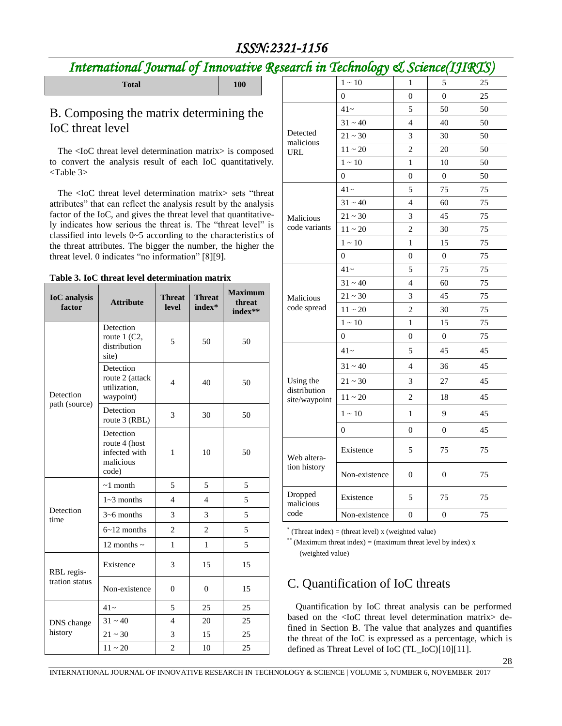# *International Journal of Innovative Research in Technology & Science(IJIRTS)*

# **Total 100**

#### B. Composing the matrix determining the IoC threat level

The <IoC threat level determination matrix> is composed to convert the analysis result of each IoC quantitatively. <Table 3>

The <IoC threat level determination matrix> sets "threat attributes" that can reflect the analysis result by the analysis factor of the IoC, and gives the threat level that quantitatively indicates how serious the threat is. The "threat level" is classified into levels 0~5 according to the characteristics of the threat attributes. The bigger the number, the higher the threat level. 0 indicates "no information" [8][9].

|--|

| <b>IoC</b> analysis<br>factor | <b>Attribute</b>                                                  | <b>Threat</b><br><b>level</b> | <b>Threat</b><br>index* | <b>Maximum</b><br>threat<br>index** |
|-------------------------------|-------------------------------------------------------------------|-------------------------------|-------------------------|-------------------------------------|
|                               | Detection<br>route $1$ (C2,<br>distribution<br>site)              | 5                             | 50                      | 50                                  |
| Detection                     | Detection<br>route 2 (attack<br>utilization,<br>waypoint)         | $\overline{4}$                | 40                      | 50                                  |
| path (source)                 | Detection<br>route 3 (RBL)                                        | 3<br>30                       | 50                      |                                     |
|                               | Detection<br>route 4 (host<br>infected with<br>malicious<br>code) | 1                             | 10                      | 50                                  |
|                               | $\sim$ 1 month                                                    | 5                             | 5                       | 5                                   |
|                               | $1~3$ months                                                      | $\overline{4}$                | $\overline{4}$          | 5                                   |
| Detection<br>time             | $3\neg 6$ months                                                  | 3                             | 3                       | 5                                   |
|                               | $6 - 12$ months                                                   | $\overline{2}$                | $\overline{c}$          | 5                                   |
|                               | 12 months $\sim$                                                  | 1                             | 1                       | 5                                   |
| RBL regis-                    | Existence                                                         | 3                             | 15                      | 15                                  |
| tration status                | Non-existence<br>$\mathbf{0}$                                     | $\overline{0}$                | 15                      |                                     |
|                               | $41-$                                                             | 5                             | 25                      | 25                                  |
| DNS change<br>history         | $31 - 40$                                                         | 4                             | 20                      | 25                                  |
|                               | $21 - 30$                                                         | 3                             | 15                      | 25                                  |
|                               | $11 \sim 20$                                                      | $\overline{c}$                | 10                      | 25                                  |

|                               | $1 - 10$       | $\mathbf{1}$   | 5                | 25 |
|-------------------------------|----------------|----------------|------------------|----|
|                               | $\Omega$       | 0              | $\theta$         | 25 |
|                               | $41-$          | 5              | 50               | 50 |
|                               | $31 - 40$      | $\overline{4}$ | 40               | 50 |
| Detected<br>malicious         | $21 - 30$      | 3              | 30               | 50 |
| URL                           | $11\sim20$     | $\overline{c}$ | 20               | 50 |
|                               | $1\sim10$      | $\mathbf{1}$   | 10               | 50 |
|                               | $\overline{0}$ | $\overline{0}$ | $\overline{0}$   | 50 |
|                               | $41-$          | 5              | 75               | 75 |
|                               | $31 - 40$      | $\overline{4}$ | 60               | 75 |
| Malicious                     | $21 - 30$      | $\overline{3}$ | 45               | 75 |
| code variants                 | $11\sim20$     | $\overline{c}$ | 30               | 75 |
|                               | $1 - 10$       | $\mathbf{1}$   | 15               | 75 |
|                               | $\overline{0}$ | $\overline{0}$ | $\overline{0}$   | 75 |
|                               | $41-$          | 5              | 75               | 75 |
|                               | $31 - 40$      | $\overline{4}$ | 60               | 75 |
| Malicious                     | $21\sim30$     | 3              | 45               | 75 |
| code spread                   | $11\sim20$     | $\overline{c}$ | 30               | 75 |
|                               | $1 \sim 10$    | $\mathbf{1}$   | 15               | 75 |
|                               | $\theta$       | $\mathbf{0}$   | $\boldsymbol{0}$ | 75 |
|                               | $41-$          | 5              | 45               | 45 |
|                               | $31 - 40$      | $\overline{4}$ | 36               | 45 |
| Using the                     | $21 - 30$      | 3              | 27               | 45 |
| distribution<br>site/waypoint | $11\sim20$     | $\overline{c}$ | 18               | 45 |
|                               | $1 - 10$       | 1              | 9                | 45 |
|                               | $\Omega$       | $\overline{0}$ | $\overline{0}$   | 45 |
| Web altera-<br>tion history   | Existence      | 5              | 75               | 75 |
|                               | Non-existence  | $\overline{0}$ | 0                | 75 |
| Dropped<br>malicious          | Existence      | 5              | 75               | 75 |
| code                          | Non-existence  | $\overline{0}$ | $\overline{0}$   | 75 |

 $*$  (Threat index) = (threat level) x (weighted value)

\*\* (Maximum threat index) = (maximum threat level by index) x (weighted value)

## C. Quantification of IoC threats

Quantification by IoC threat analysis can be performed based on the <IoC threat level determination matrix> defined in Section B. The value that analyzes and quantifies the threat of the IoC is expressed as a percentage, which is defined as Threat Level of IoC (TL\_IoC)[10][11].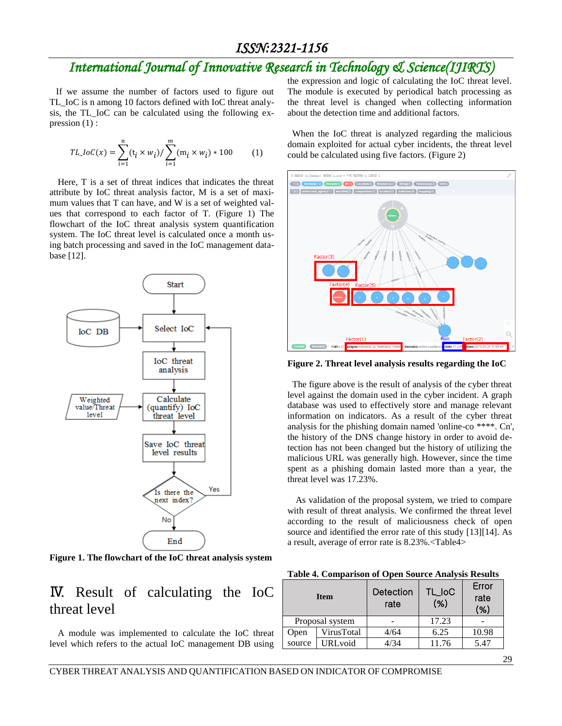# *International Journal of Innovative Research in Technology & Science(IJIRTS)*

If we assume the number of factors used to figure out TL\_IoC is n among 10 factors defined with IoC threat analysis, the TL\_IoC can be calculated using the following expression (1) :

$$
TL\_IoC(x) = \sum_{i=1}^{n} (\mathbf{t}_i \times w_i) / \sum_{i=1}^{m} (\mathbf{m}_i \times w_i) * 100
$$
 (1)

Here, T is a set of threat indices that indicates the threat attribute by IoC threat analysis factor, M is a set of maximum values that T can have, and W is a set of weighted values that correspond to each factor of T. (Figure 1) The flowchart of the IoC threat analysis system quantification system. The IoC threat level is calculated once a month using batch processing and saved in the IoC management database [12].



**Figure 1. The flowchart of the IoC threat analysis system**

## Ⅳ. Result of calculating the IoC threat level

A module was implemented to calculate the IoC threat level which refers to the actual IoC management DB using the expression and logic of calculating the IoC threat level. The module is executed by periodical batch processing as the threat level is changed when collecting information about the detection time and additional factors.

When the IoC threat is analyzed regarding the malicious domain exploited for actual cyber incidents, the threat level could be calculated using five factors. (Figure 2)



**Figure 2. Threat level analysis results regarding the IoC**

The figure above is the result of analysis of the cyber threat level against the domain used in the cyber incident. A graph database was used to effectively store and manage relevant information on indicators. As a result of the cyber threat analysis for the phishing domain named 'online-co \*\*\*\*. Cn', the history of the DNS change history in order to avoid detection has not been changed but the history of utilizing the malicious URL was generally high. However, since the time spent as a phishing domain lasted more than a year, the threat level was 17.23%.

As validation of the proposal system, we tried to compare with result of threat analysis. We confirmed the threat level according to the result of maliciousness check of open source and identified the error rate of this study [13][14]. As a result, average of error rate is 8.23%.<Table4>

**Table 4. Comparison of Open Source Analysis Results**

| <b>Item</b>     |                 | Detection<br>rate | <b>TL_IoC</b><br>(%) | Error<br>rate<br>(%) |
|-----------------|-----------------|-------------------|----------------------|----------------------|
| Proposal system |                 |                   | 17.23                |                      |
| Open            | VirusTotal      | 4/64              | 6.25                 | 10.98                |
| source          | <b>URL</b> void | 1/34              | 11.76                | 5.47                 |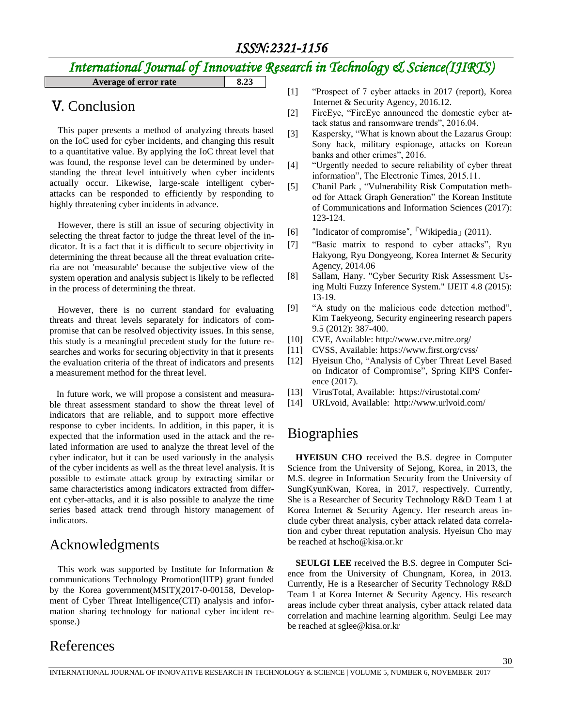# *International Journal of Innovative Research in Technology & Science(IJIRTS)*

**Average of error rate 8.23**

## Ⅴ. Conclusion

This paper presents a method of analyzing threats based on the IoC used for cyber incidents, and changing this result to a quantitative value. By applying the IoC threat level that was found, the response level can be determined by understanding the threat level intuitively when cyber incidents actually occur. Likewise, large-scale intelligent cyberattacks can be responded to efficiently by responding to highly threatening cyber incidents in advance.

However, there is still an issue of securing objectivity in selecting the threat factor to judge the threat level of the indicator. It is a fact that it is difficult to secure objectivity in determining the threat because all the threat evaluation criteria are not 'measurable' because the subjective view of the system operation and analysis subject is likely to be reflected in the process of determining the threat.

However, there is no current standard for evaluating threats and threat levels separately for indicators of compromise that can be resolved objectivity issues. In this sense, this study is a meaningful precedent study for the future researches and works for securing objectivity in that it presents the evaluation criteria of the threat of indicators and presents a measurement method for the threat level.

In future work, we will propose a consistent and measurable threat assessment standard to show the threat level of indicators that are reliable, and to support more effective response to cyber incidents. In addition, in this paper, it is expected that the information used in the attack and the related information are used to analyze the threat level of the cyber indicator, but it can be used variously in the analysis of the cyber incidents as well as the threat level analysis. It is possible to estimate attack group by extracting similar or same characteristics among indicators extracted from different cyber-attacks, and it is also possible to analyze the time series based attack trend through history management of indicators.

## Acknowledgments

This work was supported by Institute for Information  $\&$ communications Technology Promotion(IITP) grant funded by the Korea government(MSIT)(2017-0-00158, Development of Cyber Threat Intelligence(CTI) analysis and information sharing technology for national cyber incident response.)

- [1] "Prospect of 7 cyber attacks in 2017 (report), Korea Internet & Security Agency, 2016.12.
- [2] FireEye, "FireEye announced the domestic cyber attack status and ransomware trends", 2016.04.
- [3] Kaspersky, "What is known about the Lazarus Group: Sony hack, military espionage, attacks on Korean banks and other crimes", 2016.
- [4] "Urgently needed to secure reliability of cyber threat information", The Electronic Times, 2015.11.
- [5] Chanil Park , "Vulnerability Risk Computation method for Attack Graph Generation" the Korean Institute of Communications and Information Sciences (2017): 123-124.
- [6] "Indicator of compromise", <sup>『</sup>Wikipedia』 (2011).
- [7] "Basic matrix to respond to cyber attacks", Ryu Hakyong, Ryu Dongyeong, Korea Internet & Security Agency, 2014.06
- [8] Sallam, Hany. "Cyber Security Risk Assessment Using Multi Fuzzy Inference System." IJEIT 4.8 (2015): 13-19.
- [9] "A study on the malicious code detection method", Kim Taekyeong, Security engineering research papers 9.5 (2012): 387-400.
- [10] CVE, Available: http://www.cve.mitre.org/
- [11] CVSS, Available: https://www.first.org/cvss/
- [12] Hyeisun Cho, "Analysis of Cyber Threat Level Based on Indicator of Compromise", Spring KIPS Conference (2017).
- [13] VirusTotal, Available: https://virustotal.com/
- [14] URLvoid, Available: http://www.urlvoid.com/

## **Biographies**

**HYEISUN CHO** received the B.S. degree in Computer Science from the University of Sejong, Korea, in 2013, the M.S. degree in Information Security from the University of SungKyunKwan, Korea, in 2017, respectively. Currently, She is a Researcher of Security Technology R&D Team 1 at Korea Internet & Security Agency. Her research areas include cyber threat analysis, cyber attack related data correlation and cyber threat reputation analysis. Hyeisun Cho may be reached at hscho@kisa.or.kr

**SEULGI LEE** received the B.S. degree in Computer Science from the University of Chungnam, Korea, in 2013. Currently, He is a Researcher of Security Technology R&D Team 1 at Korea Internet & Security Agency. His research areas include cyber threat analysis, cyber attack related data correlation and machine learning algorithm. Seulgi Lee may be reached at sglee@kisa.or.kr

## References